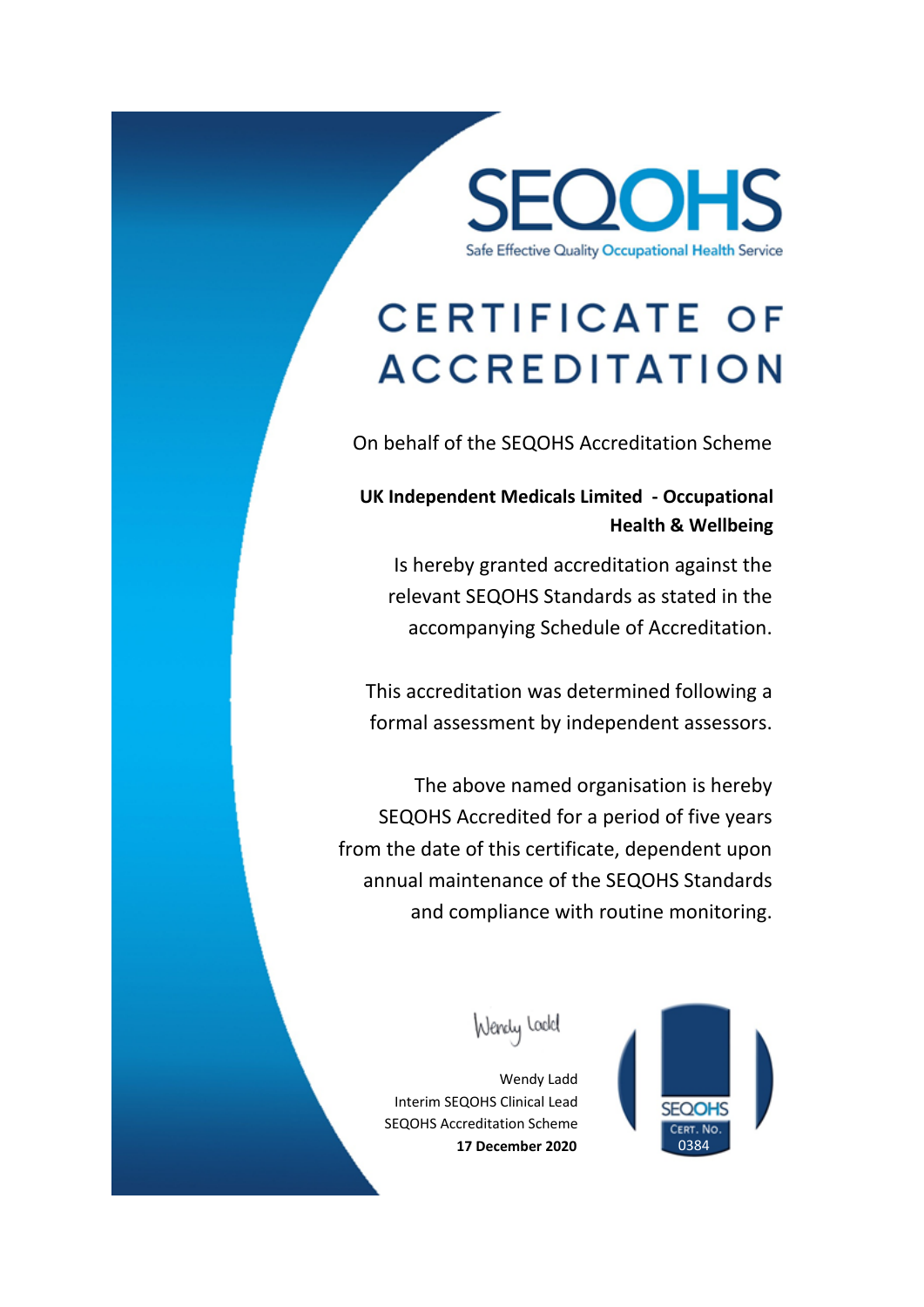

### **CERTIFICATE OF ACCREDITATION**

On behalf of the SEQOHS Accreditation Scheme

#### **UK Independent Medicals Limited - Occupational Health & Wellbeing**

Is hereby granted accreditation against the relevant SEQOHS Standards as stated in the accompanying Schedule of Accreditation.

This accreditation was determined following a formal assessment by independent assessors.

The above named organisation is hereby SEQOHS Accredited for a period of five years from the date of this certificate, dependent upon annual maintenance of the SEQOHS Standards and compliance with routine monitoring.

Wendy Loold

Wendy Ladd Interim SEQOHS Clinical Lead SEQOHS Accreditation Scheme **17 December 2020** 0384